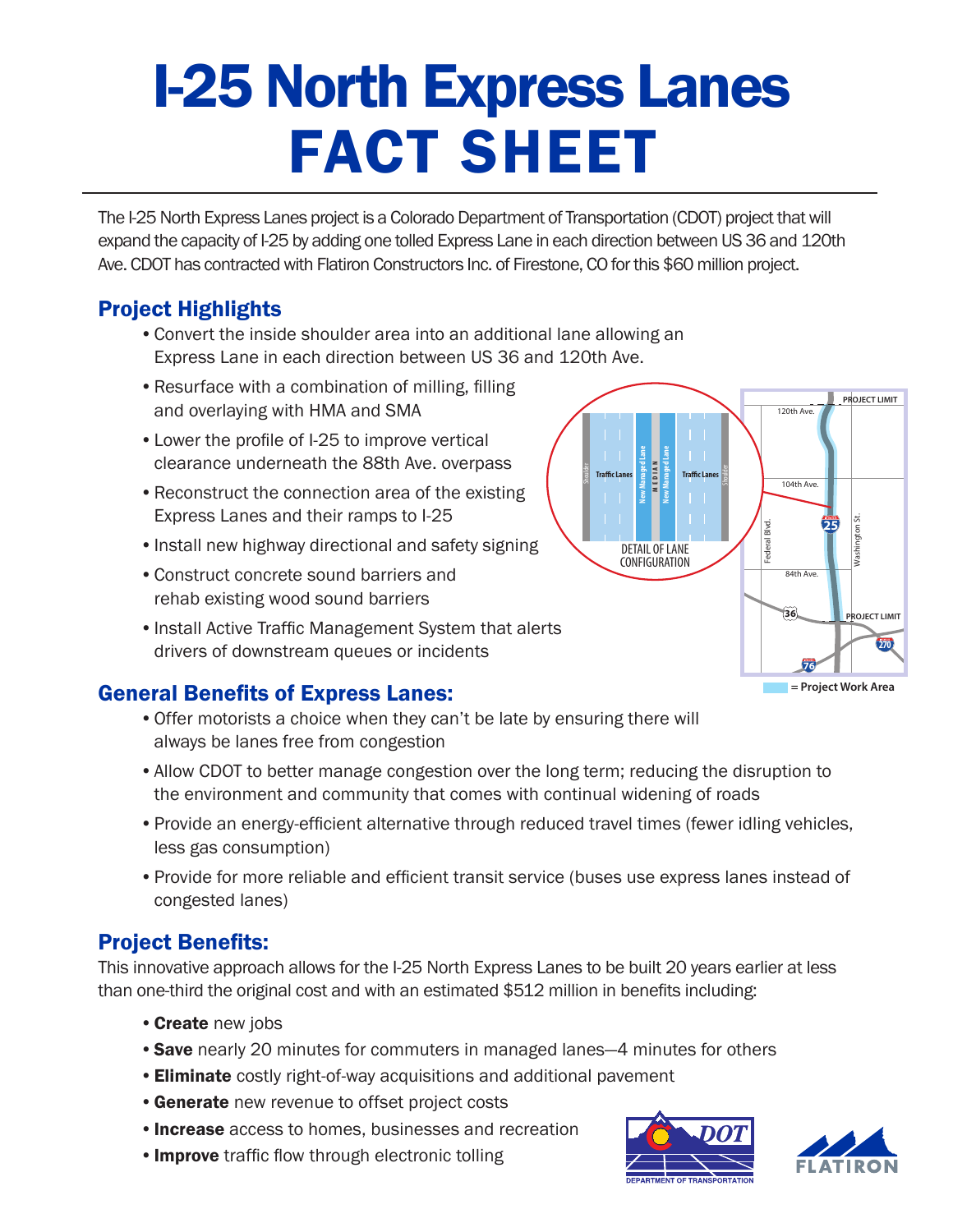# I-25 North Express Lanes FACT SHEET

The I-25 North Express Lanes project is a Colorado Department of Transportation (CDOT) project that will expand the capacity of I-25 by adding one tolled Express Lane in each direction between US 36 and 120th Ave. CDOT has contracted with Flatiron Constructors Inc. of Firestone, CO for this \$60 million project.

## Project Highlights

- Convert the inside shoulder area into an additional lane allowing an Express Lane in each direction between US 36 and 120th Ave.
- Resurface with a combination of milling, filling and overlaying with HMA and SMA
- Lower the profile of I-25 to improve vertical clearance underneath the 88th Ave. overpass
- Reconstruct the connection area of the existing Express Lanes and their ramps to I-25
- Install new highway directional and safety signing
- Construct concrete sound barriers and rehab existing wood sound barriers
- Install Active Traffic Management System that alerts drivers of downstream queues or incidents

### General Benefits of Express Lanes:

- Offer motorists a choice when they can't be late by ensuring there will always be lanes free from congestion
- Allow CDOT to better manage congestion over the long term; reducing the disruption to the environment and community that comes with continual widening of roads
- Provide an energy-efficient alternative through reduced travel times (fewer idling vehicles, less gas consumption)
- • Provide for more reliable and efficient transit service (buses use express lanes instead of congested lanes)

### Project Benefits:

This innovative approach allows for the I-25 North Express Lanes to be built 20 years earlier at less than one-third the original cost and with an estimated \$512 million in benefits including:

- Create new jobs
- Save nearly 20 minutes for commuters in managed lanes-4 minutes for others
- **Eliminate** costly right-of-way acquisitions and additional pavement
- **Generate** new revenue to offset project costs
- **Increase** access to homes, businesses and recreation